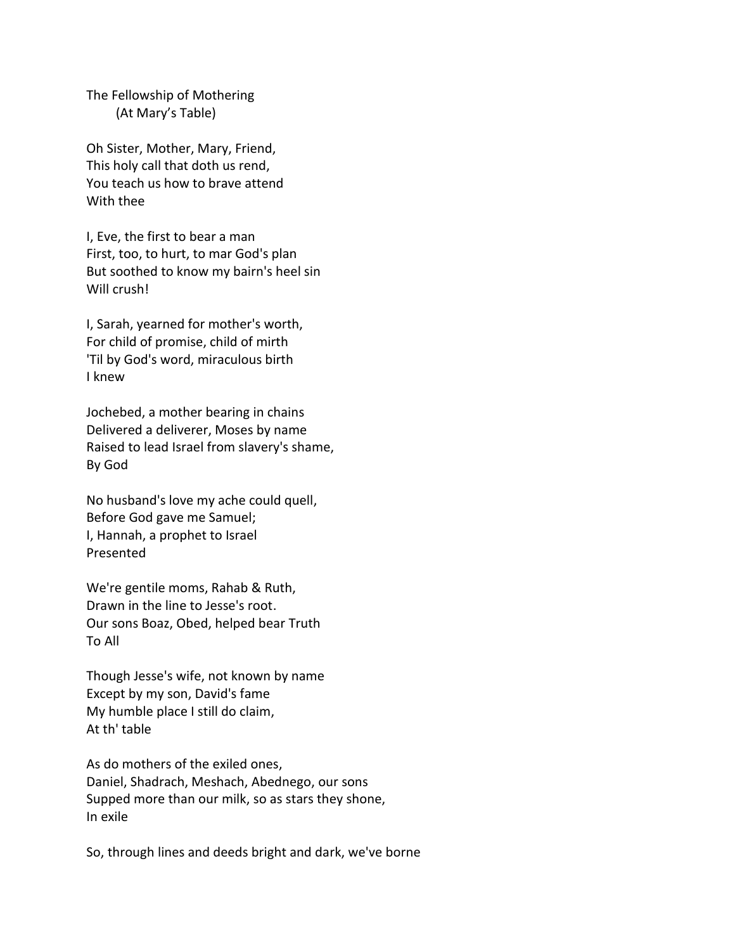The Fellowship of Mothering (At Mary's Table)

Oh Sister, Mother, Mary, Friend, This holy call that doth us rend, You teach us how to brave attend With thee

I, Eve, the first to bear a man First, too, to hurt, to mar God's plan But soothed to know my bairn's heel sin Will crush!

I, Sarah, yearned for mother's worth, For child of promise, child of mirth 'Til by God's word, miraculous birth I knew

Jochebed, a mother bearing in chains Delivered a deliverer, Moses by name Raised to lead Israel from slavery's shame, By God

No husband's love my ache could quell, Before God gave me Samuel; I, Hannah, a prophet to Israel Presented

We're gentile moms, Rahab & Ruth, Drawn in the line to Jesse's root. Our sons Boaz, Obed, helped bear Truth To All

Though Jesse's wife, not known by name Except by my son, David's fame My humble place I still do claim, At th' table

As do mothers of the exiled ones, Daniel, Shadrach, Meshach, Abednego, our sons Supped more than our milk, so as stars they shone, In exile

So, through lines and deeds bright and dark, we've borne